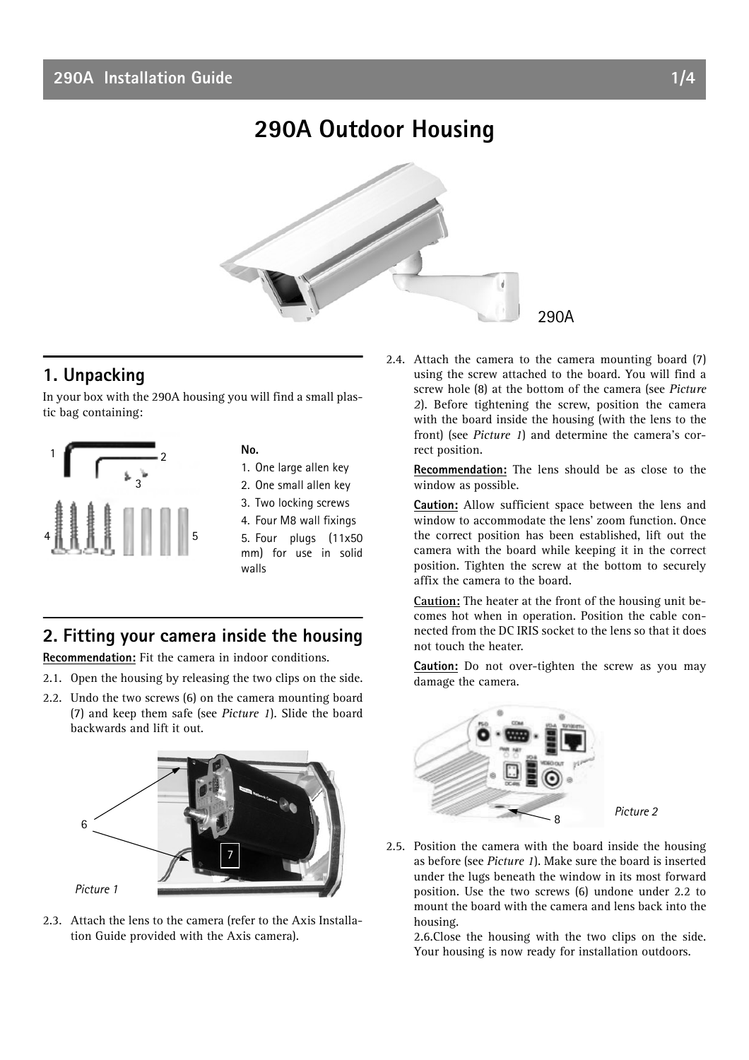# **290A Outdoor Housing**



# **1. Unpacking**

In your box with the 290A housing you will find a small plastic bag containing:



**No.**

- 1. One large allen key
- 2. One small allen key
- 3. Two locking screws
- 4. Four M8 wall fixings 5. Four plugs (11x50 mm) for use in solid walls

### **2. Fitting your camera inside the housing**

**Recommendation:** Fit the camera in indoor conditions.

- 2.1. Open the housing by releasing the two clips on the side.
- 2.2. Undo the two screws (6) on the camera mounting board (7) and keep them safe (see *Picture 1*). Slide the board backwards and lift it out.



2.3. Attach the lens to the camera (refer to the Axis Installation Guide provided with the Axis camera).

2.4. Attach the camera to the camera mounting board (7) using the screw attached to the board. You will find a screw hole (8) at the bottom of the camera (see *Picture 2*). Before tightening the screw, position the camera with the board inside the housing (with the lens to the front) (see *Picture 1*) and determine the camera's correct position.

**Recommendation:** The lens should be as close to the window as possible.

**Caution:** Allow sufficient space between the lens and window to accommodate the lens' zoom function. Once the correct position has been established, lift out the camera with the board while keeping it in the correct position. Tighten the screw at the bottom to securely affix the camera to the board.

**Caution:** The heater at the front of the housing unit becomes hot when in operation. Position the cable connected from the DC IRIS socket to the lens so that it does not touch the heater.

**Caution:** Do not over-tighten the screw as you may damage the camera.



2.5. Position the camera with the board inside the housing as before (see *Picture 1*). Make sure the board is inserted under the lugs beneath the window in its most forward position. Use the two screws (6) undone under 2.2 to mount the board with the camera and lens back into the housing.

2.6.Close the housing with the two clips on the side. Your housing is now ready for installation outdoors.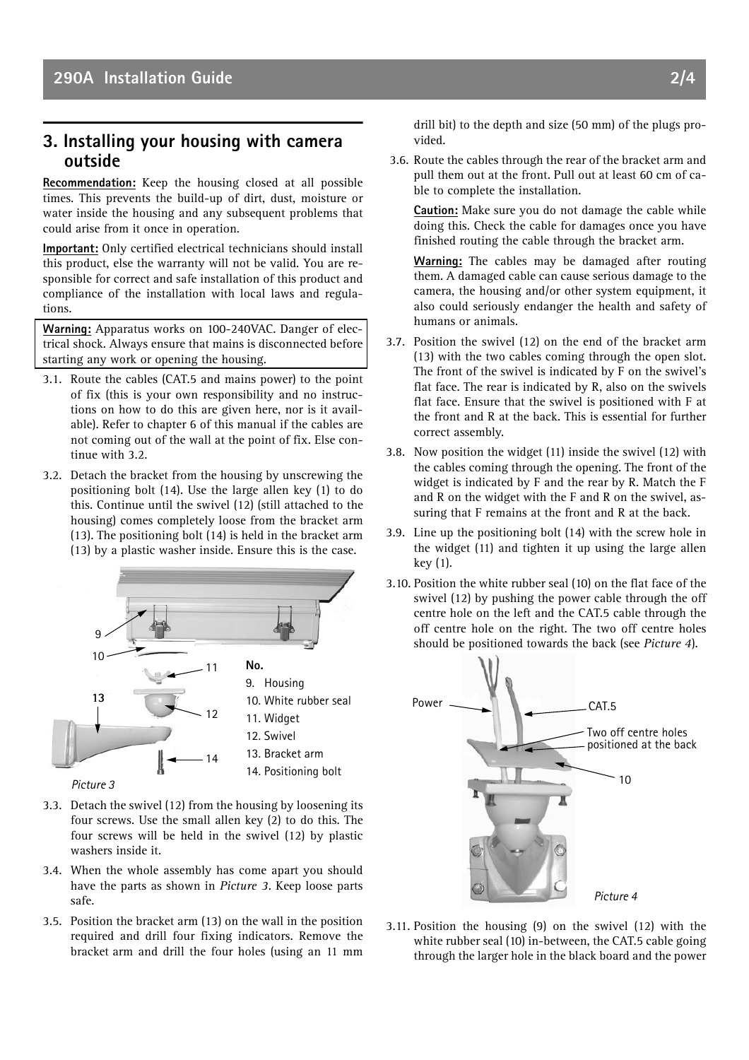#### **3. Installing your housing with camera outside**

**Recommendation:** Keep the housing closed at all possible times. This prevents the build-up of dirt, dust, moisture or water inside the housing and any subsequent problems that could arise from it once in operation.

**Important:** Only certified electrical technicians should install this product, else the warranty will not be valid. You are responsible for correct and safe installation of this product and compliance of the installation with local laws and regulations.

**Warning:** Apparatus works on 100-240VAC. Danger of electrical shock. Always ensure that mains is disconnected before starting any work or opening the housing.

- 3.1. Route the cables (CAT.5 and mains power) to the point of fix (this is your own responsibility and no instructions on how to do this are given here, nor is it available). Refer to chapter 6 of this manual if the cables are not coming out of the wall at the point of fix. Else continue with 3.2.
- 3.2. Detach the bracket from the housing by unscrewing the positioning bolt (14). Use the large allen key (1) to do this. Continue until the swivel (12) (still attached to the housing) comes completely loose from the bracket arm (13). The positioning bolt (14) is held in the bracket arm (13) by a plastic washer inside. Ensure this is the case.



- *Picture 3*
- 3.3. Detach the swivel (12) from the housing by loosening its four screws. Use the small allen key (2) to do this. The four screws will be held in the swivel (12) by plastic washers inside it.
- 3.4. When the whole assembly has come apart you should have the parts as shown in *Picture 3*. Keep loose parts safe.
- 3.5. Position the bracket arm (13) on the wall in the position required and drill four fixing indicators. Remove the bracket arm and drill the four holes (using an 11 mm

drill bit) to the depth and size (50 mm) of the plugs provided.

 3.6. Route the cables through the rear of the bracket arm and pull them out at the front. Pull out at least 60 cm of cable to complete the installation.

**Caution:** Make sure you do not damage the cable while doing this. Check the cable for damages once you have finished routing the cable through the bracket arm.

**Warning:** The cables may be damaged after routing them. A damaged cable can cause serious damage to the camera, the housing and/or other system equipment, it also could seriously endanger the health and safety of humans or animals.

- 3.7. Position the swivel (12) on the end of the bracket arm (13) with the two cables coming through the open slot. The front of the swivel is indicated by F on the swivel's flat face. The rear is indicated by R, also on the swivels flat face. Ensure that the swivel is positioned with F at the front and R at the back. This is essential for further correct assembly.
- 3.8. Now position the widget (11) inside the swivel (12) with the cables coming through the opening. The front of the widget is indicated by F and the rear by R. Match the F and R on the widget with the F and R on the swivel, assuring that F remains at the front and R at the back.
- 3.9. Line up the positioning bolt (14) with the screw hole in the widget (11) and tighten it up using the large allen key (1).
- 3.10. Position the white rubber seal (10) on the flat face of the swivel (12) by pushing the power cable through the off centre hole on the left and the CAT.5 cable through the off centre hole on the right. The two off centre holes should be positioned towards the back (see *Picture 4*).



3.11. Position the housing (9) on the swivel (12) with the white rubber seal (10) in-between, the CAT.5 cable going through the larger hole in the black board and the power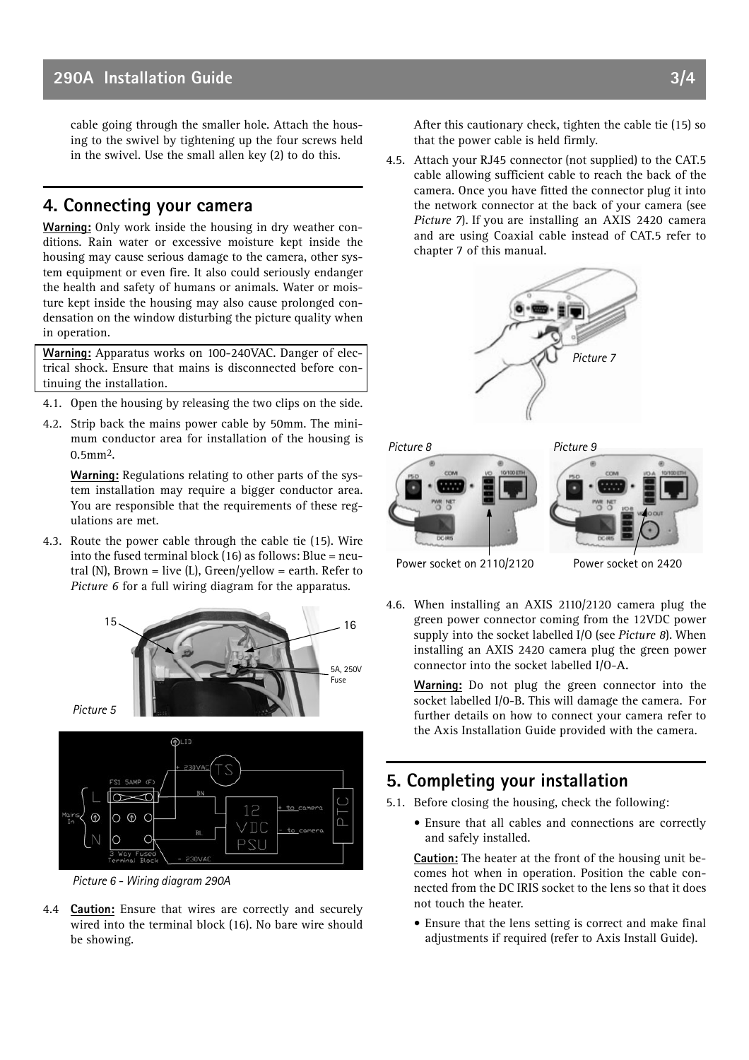cable going through the smaller hole. Attach the housing to the swivel by tightening up the four screws held in the swivel. Use the small allen key (2) to do this.

#### **4. Connecting your camera**

**Warning:** Only work inside the housing in dry weather conditions. Rain water or excessive moisture kept inside the housing may cause serious damage to the camera, other system equipment or even fire. It also could seriously endanger the health and safety of humans or animals. Water or moisture kept inside the housing may also cause prolonged condensation on the window disturbing the picture quality when in operation.

**Warning:** Apparatus works on 100-240VAC. Danger of electrical shock. Ensure that mains is disconnected before continuing the installation.

- 4.1. Open the housing by releasing the two clips on the side.
- 4.2. Strip back the mains power cable by 50mm. The minimum conductor area for installation of the housing is 0.5mm2.

**Warning:** Regulations relating to other parts of the system installation may require a bigger conductor area. You are responsible that the requirements of these regulations are met.

4.3. Route the power cable through the cable tie (15). Wire into the fused terminal block (16) as follows: Blue = neutral (N), Brown = live (L), Green/yellow = earth. Refer to *Picture 6* for a full wiring diagram for the apparatus.



*Picture 6 - Wiring diagram 290A*

4.4 **Caution:** Ensure that wires are correctly and securely wired into the terminal block (16). No bare wire should be showing.

After this cautionary check, tighten the cable tie (15) so that the power cable is held firmly.

4.5. Attach your RJ45 connector (not supplied) to the CAT.5 cable allowing sufficient cable to reach the back of the camera. Once you have fitted the connector plug it into the network connector at the back of your camera (see *Picture 7*). If you are installing an AXIS 2420 camera and are using Coaxial cable instead of CAT.5 refer to chapter 7 of this manual.



4.6. When installing an AXIS 2110/2120 camera plug the green power connector coming from the 12VDC power supply into the socket labelled I/O (see *Picture 8*). When installing an AXIS 2420 camera plug the green power connector into the socket labelled I/O-**A.**

**Warning:** Do not plug the green connector into the socket labelled I/0-B. This will damage the camera. For further details on how to connect your camera refer to the Axis Installation Guide provided with the camera.

## **5. Completing your installation**

5.1. Before closing the housing, check the following:

• Ensure that all cables and connections are correctly and safely installed.

**Caution:** The heater at the front of the housing unit becomes hot when in operation. Position the cable connected from the DC IRIS socket to the lens so that it does not touch the heater.

• Ensure that the lens setting is correct and make final adjustments if required (refer to Axis Install Guide).